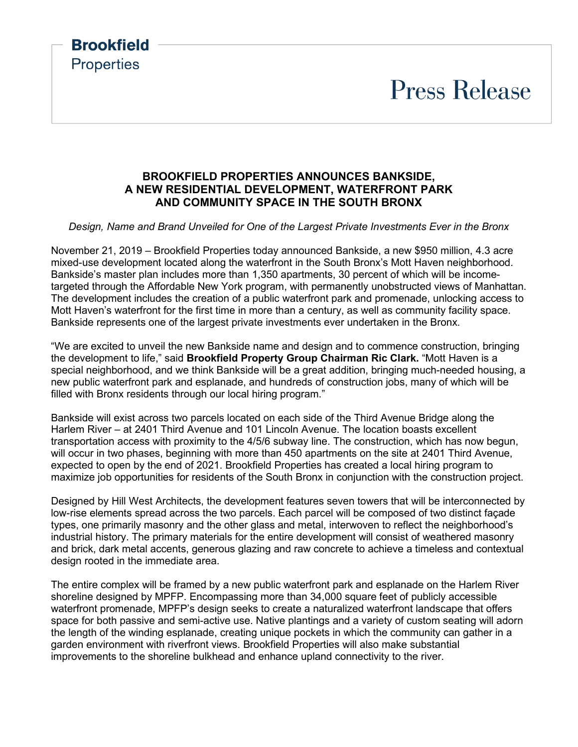# **Press Release**

## **BROOKFIELD PROPERTIES ANNOUNCES BANKSIDE, A NEW RESIDENTIAL DEVELOPMENT, WATERFRONT PARK AND COMMUNITY SPACE IN THE SOUTH BRONX**

**Brookfield** 

**Properties** 

#### *Design, Name and Brand Unveiled for One of the Largest Private Investments Ever in the Bronx*

November 21, 2019 – Brookfield Properties today announced Bankside, a new \$950 million, 4.3 acre mixed-use development located along the waterfront in the South Bronx's Mott Haven neighborhood. Bankside's master plan includes more than 1,350 apartments, 30 percent of which will be incometargeted through the Affordable New York program, with permanently unobstructed views of Manhattan. The development includes the creation of a public waterfront park and promenade, unlocking access to Mott Haven's waterfront for the first time in more than a century, as well as community facility space. Bankside represents one of the largest private investments ever undertaken in the Bronx.

"We are excited to unveil the new Bankside name and design and to commence construction, bringing the development to life," said **Brookfield Property Group Chairman Ric Clark.** "Mott Haven is a special neighborhood, and we think Bankside will be a great addition, bringing much-needed housing, a new public waterfront park and esplanade, and hundreds of construction jobs, many of which will be filled with Bronx residents through our local hiring program."

Bankside will exist across two parcels located on each side of the Third Avenue Bridge along the Harlem River – at 2401 Third Avenue and 101 Lincoln Avenue. The location boasts excellent transportation access with proximity to the 4/5/6 subway line. The construction, which has now begun, will occur in two phases, beginning with more than 450 apartments on the site at 2401 Third Avenue, expected to open by the end of 2021. Brookfield Properties has created a local hiring program to maximize job opportunities for residents of the South Bronx in conjunction with the construction project.

Designed by Hill West Architects, the development features seven towers that will be interconnected by low-rise elements spread across the two parcels. Each parcel will be composed of two distinct façade types, one primarily masonry and the other glass and metal, interwoven to reflect the neighborhood's industrial history. The primary materials for the entire development will consist of weathered masonry and brick, dark metal accents, generous glazing and raw concrete to achieve a timeless and contextual design rooted in the immediate area.

The entire complex will be framed by a new public waterfront park and esplanade on the Harlem River shoreline designed by MPFP. Encompassing more than 34,000 square feet of publicly accessible waterfront promenade, MPFP's design seeks to create a naturalized waterfront landscape that offers space for both passive and semi-active use. Native plantings and a variety of custom seating will adorn the length of the winding esplanade, creating unique pockets in which the community can gather in a garden environment with riverfront views. Brookfield Properties will also make substantial improvements to the shoreline bulkhead and enhance upland connectivity to the river.